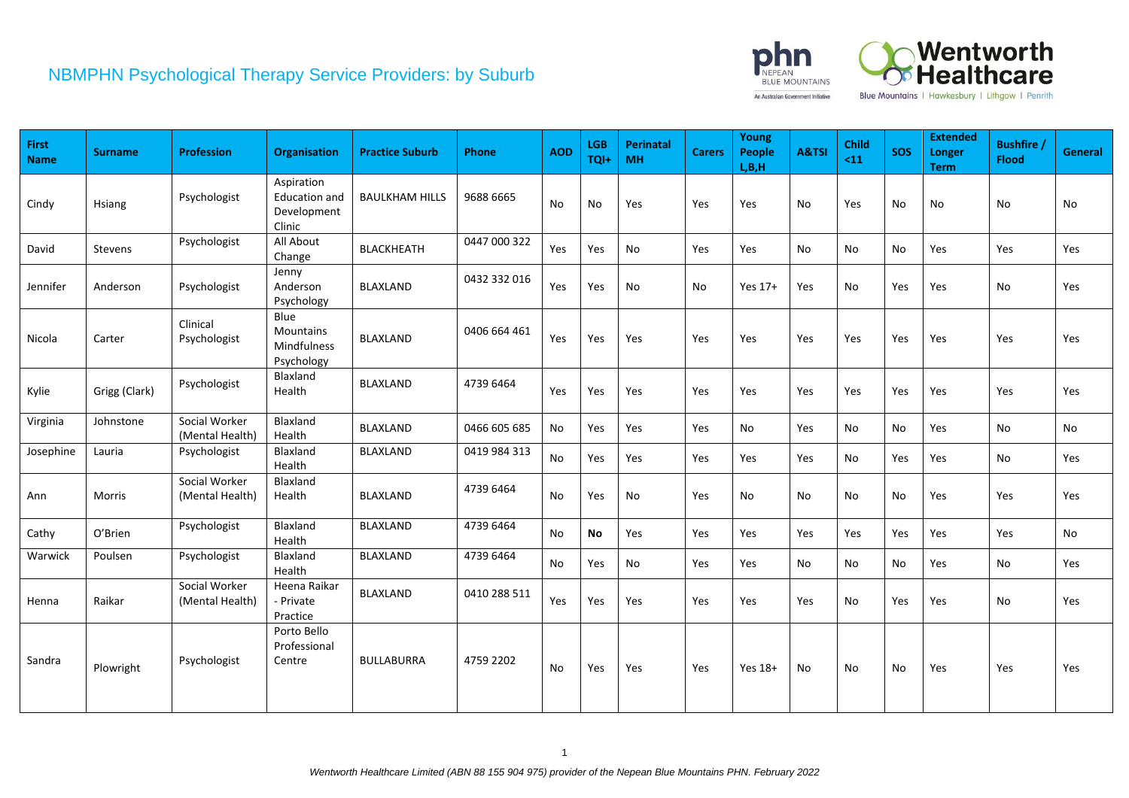

| First<br><b>Name</b> | <b>Surname</b> | <b>Profession</b>                | <b>Organisation</b>                                         | <b>Practice Suburb</b> | Phone        | <b>AOD</b> | <b>LGB</b><br>TQI+ | Perinatal<br><b>MH</b> | <b>Carers</b> | Young<br><b>People</b><br>L, B, H | A&TSI | Child<br>$11$ | <b>SOS</b> | <b>Extended</b><br>Longer<br><b>Term</b> | <b>Bushfire</b><br><b>Flood</b> | <b>General</b> |
|----------------------|----------------|----------------------------------|-------------------------------------------------------------|------------------------|--------------|------------|--------------------|------------------------|---------------|-----------------------------------|-------|---------------|------------|------------------------------------------|---------------------------------|----------------|
| Cindy                | Hsiang         | Psychologist                     | Aspiration<br><b>Education and</b><br>Development<br>Clinic | <b>BAULKHAM HILLS</b>  | 9688 6665    | No         | No                 | Yes                    | Yes           | Yes                               | No    | Yes           | No         | No                                       | No                              | No             |
| David                | Stevens        | Psychologist                     | All About<br>Change                                         | BLACKHEATH             | 0447 000 322 | Yes        | Yes                | No                     | Yes           | Yes                               | No    | No            | No         | Yes                                      | Yes                             | Yes            |
| Jennifer             | Anderson       | Psychologist                     | Jenny<br>Anderson<br>Psychology                             | BLAXLAND               | 0432 332 016 | Yes        | Yes                | No                     | No            | Yes 17+                           | Yes   | No            | Yes        | Yes                                      | No                              | Yes            |
| Nicola               | Carter         | Clinical<br>Psychologist         | Blue<br>Mountains<br>Mindfulness<br>Psychology              | <b>BLAXLAND</b>        | 0406 664 461 | Yes        | Yes                | Yes                    | Yes           | Yes                               | Yes   | Yes           | Yes        | Yes                                      | Yes                             | Yes            |
| Kylie                | Grigg (Clark)  | Psychologist                     | Blaxland<br>Health                                          | <b>BLAXLAND</b>        | 4739 6464    | Yes        | Yes                | Yes                    | Yes           | Yes                               | Yes   | Yes           | Yes        | Yes                                      | Yes                             | Yes            |
| Virginia             | Johnstone      | Social Worker<br>(Mental Health) | Blaxland<br>Health                                          | BLAXLAND               | 0466 605 685 | No         | Yes                | Yes                    | Yes           | No                                | Yes   | No            | No         | Yes                                      | No                              | No             |
| Josephine            | Lauria         | Psychologist                     | Blaxland<br>Health                                          | BLAXLAND               | 0419 984 313 | No         | Yes                | Yes                    | Yes           | Yes                               | Yes   | No            | Yes        | Yes                                      | No                              | Yes            |
| Ann                  | Morris         | Social Worker<br>(Mental Health) | Blaxland<br>Health                                          | BLAXLAND               | 4739 6464    | No         | Yes                | No                     | Yes           | No                                | No    | No            | No         | Yes                                      | Yes                             | Yes            |
| Cathy                | O'Brien        | Psychologist                     | Blaxland<br>Health                                          | BLAXLAND               | 4739 6464    | <b>No</b>  | <b>No</b>          | Yes                    | Yes           | Yes                               | Yes   | Yes           | Yes        | Yes                                      | Yes                             | No.            |
| Warwick              | Poulsen        | Psychologist                     | Blaxland<br>Health                                          | <b>BLAXLAND</b>        | 4739 6464    | No         | Yes                | No                     | Yes           | Yes                               | No    | No            | No         | Yes                                      | No                              | Yes            |
| Henna                | Raikar         | Social Worker<br>(Mental Health) | Heena Raikar<br>- Private<br>Practice                       | <b>BLAXLAND</b>        | 0410 288 511 | Yes        | Yes                | Yes                    | Yes           | Yes                               | Yes   | No            | Yes        | Yes                                      | No                              | Yes            |
| Sandra               | Plowright      | Psychologist                     | Porto Bello<br>Professional<br>Centre                       | <b>BULLABURRA</b>      | 4759 2202    | No         | Yes                | Yes                    | Yes           | Yes 18+                           | No    | No            | No         | Yes                                      | Yes                             | Yes            |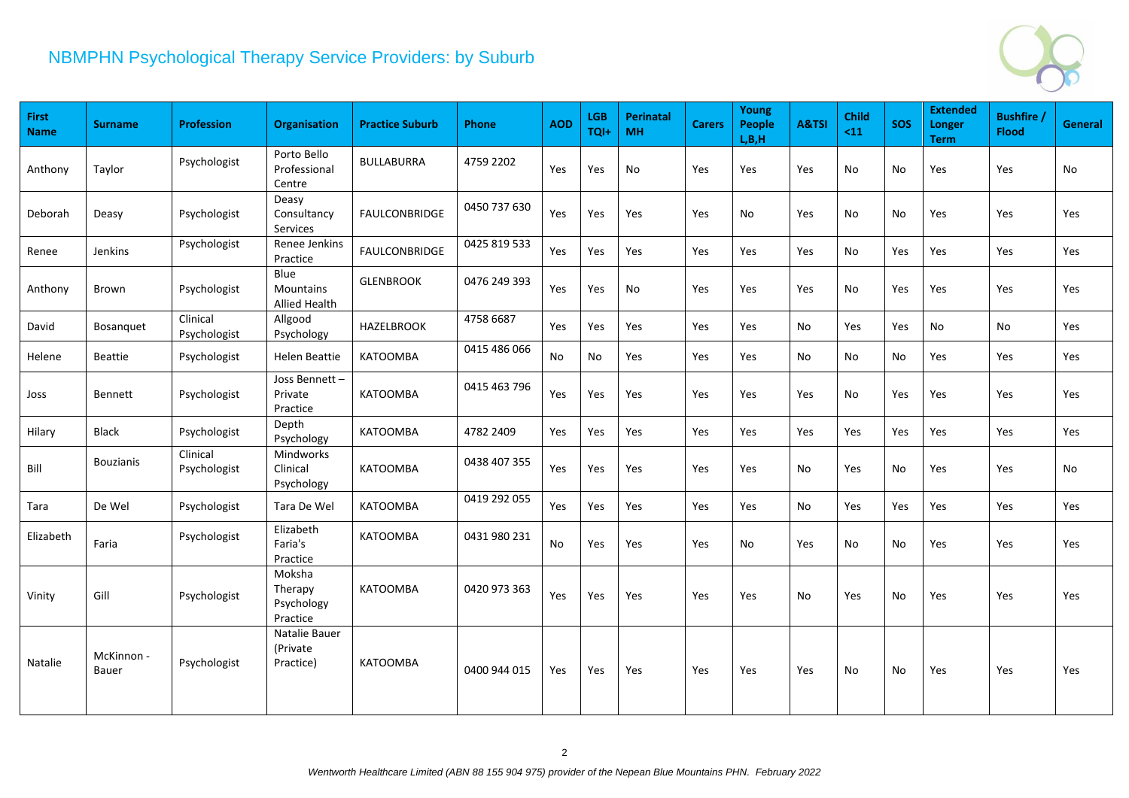

| First<br><b>Name</b> | <b>Surname</b>      | <b>Profession</b>        | Organisation                                | <b>Practice Suburb</b> | Phone        | <b>AOD</b> | <b>LGB</b><br>TQI+ | <b>Perinatal</b><br><b>MH</b> | <b>Carers</b> | Young<br><b>People</b><br>L, B, H | A&TSI | <b>Child</b><br>$11$ | <b>SOS</b> | <b>Extended</b><br><b>Longer</b><br><b>Term</b> | <b>Bushfire</b><br><b>Flood</b> | <b>General</b> |
|----------------------|---------------------|--------------------------|---------------------------------------------|------------------------|--------------|------------|--------------------|-------------------------------|---------------|-----------------------------------|-------|----------------------|------------|-------------------------------------------------|---------------------------------|----------------|
| Anthony              | Taylor              | Psychologist             | Porto Bello<br>Professional<br>Centre       | <b>BULLABURRA</b>      | 4759 2202    | Yes        | Yes                | No                            | <b>Yes</b>    | Yes                               | Yes   | No                   | No         | Yes                                             | Yes                             | No             |
| Deborah              | Deasy               | Psychologist             | Deasy<br>Consultancy<br>Services            | <b>FAULCONBRIDGE</b>   | 0450 737 630 | Yes        | Yes                | Yes                           | Yes           | No                                | Yes   | No                   | No         | Yes                                             | Yes                             | Yes            |
| Renee                | Jenkins             | Psychologist             | Renee Jenkins<br>Practice                   | <b>FAULCONBRIDGE</b>   | 0425 819 533 | Yes        | Yes                | Yes                           | Yes           | Yes                               | Yes   | No                   | Yes        | Yes                                             | Yes                             | Yes            |
| Anthony              | Brown               | Psychologist             | Blue<br>Mountains<br>Allied Health          | <b>GLENBROOK</b>       | 0476 249 393 | Yes        | Yes                | No                            | Yes           | <b>Yes</b>                        | Yes   | No                   | Yes        | <b>Yes</b>                                      | Yes                             | Yes            |
| David                | Bosanquet           | Clinical<br>Psychologist | Allgood<br>Psychology                       | <b>HAZELBROOK</b>      | 4758 6687    | Yes        | Yes                | Yes                           | Yes           | Yes                               | No    | Yes                  | Yes        | No                                              | No                              | Yes            |
| Helene               | Beattie             | Psychologist             | <b>Helen Beattie</b>                        | <b>KATOOMBA</b>        | 0415 486 066 | No         | No                 | Yes                           | Yes           | Yes                               | No    | No                   | No         | Yes                                             | Yes                             | Yes            |
| Joss                 | Bennett             | Psychologist             | Joss Bennett-<br>Private<br>Practice        | <b>KATOOMBA</b>        | 0415 463 796 | Yes        | Yes                | Yes                           | Yes           | Yes                               | Yes   | No.                  | Yes        | Yes                                             | Yes                             | Yes            |
| Hilary               | <b>Black</b>        | Psychologist             | Depth<br>Psychology                         | <b>KATOOMBA</b>        | 4782 2409    | Yes        | Yes                | Yes                           | Yes           | Yes                               | Yes   | Yes                  | Yes        | Yes                                             | Yes                             | Yes            |
| Bill                 | <b>Bouzianis</b>    | Clinical<br>Psychologist | Mindworks<br>Clinical<br>Psychology         | <b>KATOOMBA</b>        | 0438 407 355 | Yes        | Yes                | Yes                           | Yes           | <b>Yes</b>                        | No    | Yes                  | No         | <b>Yes</b>                                      | Yes                             | No             |
| Tara                 | De Wel              | Psychologist             | Tara De Wel                                 | <b>KATOOMBA</b>        | 0419 292 055 | Yes        | Yes                | Yes                           | Yes           | Yes                               | No    | Yes                  | Yes        | Yes                                             | Yes                             | Yes            |
| Elizabeth            | Faria               | Psychologist             | Elizabeth<br>Faria's<br>Practice            | <b>KATOOMBA</b>        | 0431 980 231 | No         | Yes                | Yes                           | Yes           | No                                | Yes   | No                   | No         | Yes                                             | Yes                             | Yes            |
| Vinity               | Gill                | Psychologist             | Moksha<br>Therapy<br>Psychology<br>Practice | <b>KATOOMBA</b>        | 0420 973 363 | Yes        | Yes                | Yes                           | <b>Yes</b>    | Yes                               | No.   | Yes                  | No         | <b>Yes</b>                                      | Yes                             | Yes            |
| Natalie              | McKinnon -<br>Bauer | Psychologist             | Natalie Bauer<br>(Private<br>Practice)      | <b>KATOOMBA</b>        | 0400 944 015 | Yes        | Yes                | Yes                           | Yes           | Yes                               | Yes   | No                   | No         | Yes                                             | Yes                             | Yes            |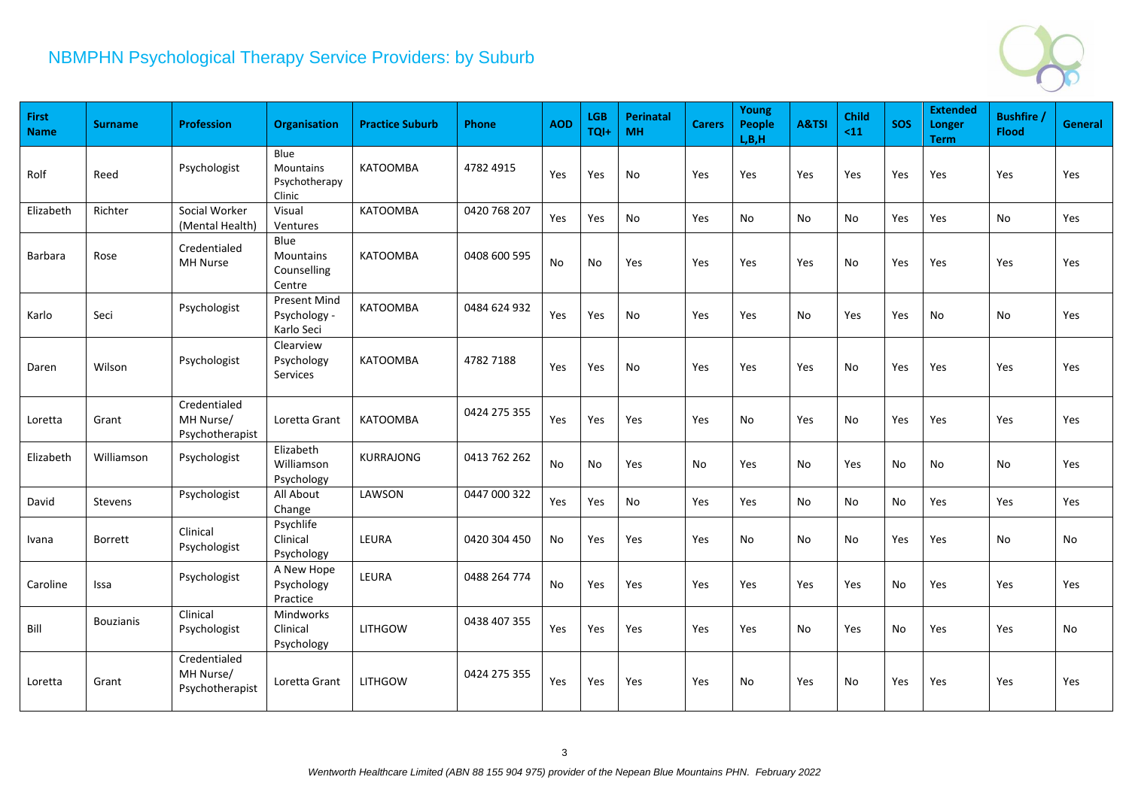

| First<br><b>Name</b> | <b>Surname</b>   | <b>Profession</b>                            | <b>Organisation</b>                                 | <b>Practice Suburb</b> | Phone        | <b>AOD</b> | <b>LGB</b><br>TQI+ | <b>Perinatal</b><br>MH | <b>Carers</b> | Young<br><b>People</b><br>L, B, H | A&TSI | <b>Child</b><br>$11$ | <b>SOS</b> | <b>Extended</b><br>Longer<br><b>Term</b> | <b>Bushfire</b><br><b>Flood</b> | General |
|----------------------|------------------|----------------------------------------------|-----------------------------------------------------|------------------------|--------------|------------|--------------------|------------------------|---------------|-----------------------------------|-------|----------------------|------------|------------------------------------------|---------------------------------|---------|
| Rolf                 | Reed             | Psychologist                                 | Blue<br><b>Mountains</b><br>Psychotherapy<br>Clinic | <b>KATOOMBA</b>        | 4782 4915    | Yes        | Yes                | <b>No</b>              | Yes           | Yes                               | Yes   | Yes                  | Yes        | Yes                                      | Yes                             | Yes     |
| Elizabeth            | Richter          | Social Worker<br>(Mental Health)             | Visual<br>Ventures                                  | <b>KATOOMBA</b>        | 0420 768 207 | Yes        | Yes                | No                     | Yes           | No                                | No    | No                   | Yes        | Yes                                      | No                              | Yes     |
| <b>Barbara</b>       | Rose             | Credentialed<br>MH Nurse                     | Blue<br><b>Mountains</b><br>Counselling<br>Centre   | <b>KATOOMBA</b>        | 0408 600 595 | No         | No                 | Yes                    | Yes           | Yes                               | Yes   | No                   | Yes        | Yes                                      | Yes                             | Yes     |
| Karlo                | Seci             | Psychologist                                 | <b>Present Mind</b><br>Psychology -<br>Karlo Seci   | <b>KATOOMBA</b>        | 0484 624 932 | Yes        | Yes                | No                     | Yes           | Yes                               | No    | Yes                  | Yes        | No                                       | No                              | Yes     |
| Daren                | Wilson           | Psychologist                                 | Clearview<br>Psychology<br>Services                 | <b>KATOOMBA</b>        | 4782 7188    | Yes        | Yes                | No                     | Yes           | Yes                               | Yes   | No                   | Yes        | Yes                                      | Yes                             | Yes     |
| Loretta              | Grant            | Credentialed<br>MH Nurse/<br>Psychotherapist | Loretta Grant                                       | <b>KATOOMBA</b>        | 0424 275 355 | Yes        | Yes                | Yes                    | Yes           | No                                | Yes   | No                   | Yes        | Yes                                      | Yes                             | Yes     |
| Elizabeth            | Williamson       | Psychologist                                 | Elizabeth<br>Williamson<br>Psychology               | <b>KURRAJONG</b>       | 0413 762 262 | No         | No                 | Yes                    | No            | Yes                               | No    | Yes                  | No         | No                                       | No                              | Yes     |
| David                | Stevens          | Psychologist                                 | All About<br>Change                                 | LAWSON                 | 0447 000 322 | Yes        | Yes                | No                     | Yes           | Yes                               | No    | No                   | No         | Yes                                      | Yes                             | Yes     |
| Ivana                | Borrett          | Clinical<br>Psychologist                     | Psychlife<br>Clinical<br>Psychology                 | LEURA                  | 0420 304 450 | No         | Yes                | Yes                    | Yes           | No                                | No    | No                   | Yes        | Yes                                      | <b>No</b>                       | No      |
| Caroline             | Issa             | Psychologist                                 | A New Hope<br>Psychology<br>Practice                | LEURA                  | 0488 264 774 | No         | Yes                | Yes                    | Yes           | Yes                               | Yes   | Yes                  | No         | Yes                                      | Yes                             | Yes     |
| Bill                 | <b>Bouzianis</b> | Clinical<br>Psychologist                     | Mindworks<br>Clinical<br>Psychology                 | <b>LITHGOW</b>         | 0438 407 355 | Yes        | Yes                | Yes                    | Yes           | Yes                               | No    | Yes                  | No         | Yes                                      | Yes                             | No      |
| Loretta              | Grant            | Credentialed<br>MH Nurse/<br>Psychotherapist | Loretta Grant                                       | <b>LITHGOW</b>         | 0424 275 355 | Yes        | Yes                | Yes                    | Yes           | No                                | Yes   | No                   | Yes        | Yes                                      | Yes                             | Yes     |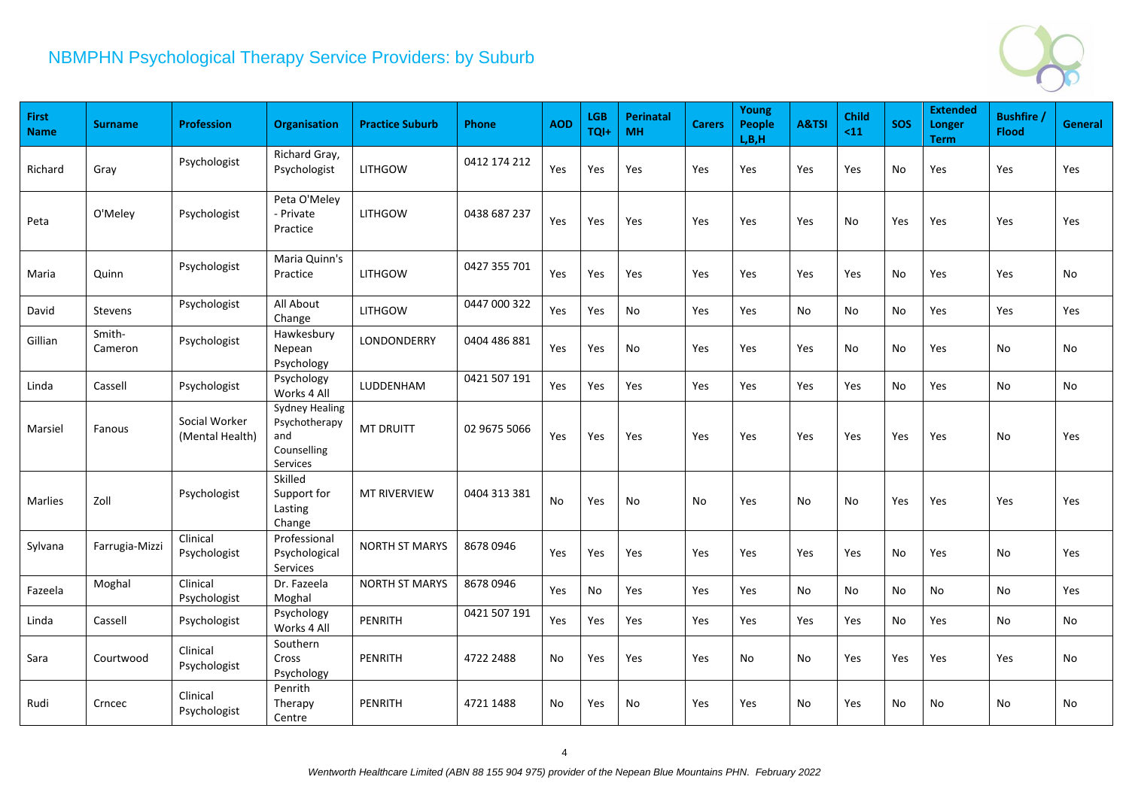

| First<br><b>Name</b> | <b>Surname</b>    | <b>Profession</b>                | Organisation                                                             | <b>Practice Suburb</b> | Phone        | <b>AOD</b> | <b>LGB</b><br>TQI+ | <b>Perinatal</b><br><b>MH</b> | <b>Carers</b> | Young<br><b>People</b><br>L, B, H | A&TSI | <b>Child</b><br>$11$ | <b>SOS</b> | <b>Extended</b><br><b>Longer</b><br><b>Term</b> | <b>Bushfire</b><br><b>Flood</b> | General |
|----------------------|-------------------|----------------------------------|--------------------------------------------------------------------------|------------------------|--------------|------------|--------------------|-------------------------------|---------------|-----------------------------------|-------|----------------------|------------|-------------------------------------------------|---------------------------------|---------|
| Richard              | Gray              | Psychologist                     | Richard Gray,<br>Psychologist                                            | <b>LITHGOW</b>         | 0412 174 212 | Yes        | Yes                | Yes                           | Yes           | Yes                               | Yes   | Yes                  | No         | Yes                                             | Yes                             | Yes     |
| Peta                 | O'Meley           | Psychologist                     | Peta O'Meley<br>- Private<br>Practice                                    | <b>LITHGOW</b>         | 0438 687 237 | Yes        | Yes                | Yes                           | Yes           | Yes                               | Yes   | No                   | Yes        | Yes                                             | Yes                             | Yes     |
| Maria                | Quinn             | Psychologist                     | Maria Quinn's<br>Practice                                                | <b>LITHGOW</b>         | 0427 355 701 | Yes        | Yes                | Yes                           | Yes           | Yes                               | Yes   | Yes                  | No         | Yes                                             | Yes                             | No      |
| David                | Stevens           | Psychologist                     | All About<br>Change                                                      | <b>LITHGOW</b>         | 0447 000 322 | Yes        | Yes                | No                            | Yes           | Yes                               | No    | No                   | No         | Yes                                             | Yes                             | Yes     |
| Gillian              | Smith-<br>Cameron | Psychologist                     | Hawkesbury<br>Nepean<br>Psychology                                       | LONDONDERRY            | 0404 486 881 | Yes        | Yes                | No                            | Yes           | Yes                               | Yes   | No                   | No         | Yes                                             | No                              | No      |
| Linda                | Cassell           | Psychologist                     | Psychology<br>Works 4 All                                                | <b>LUDDENHAM</b>       | 0421 507 191 | Yes        | Yes                | Yes                           | Yes           | <b>Yes</b>                        | Yes   | Yes                  | No.        | <b>Yes</b>                                      | No                              | No      |
| Marsiel              | Fanous            | Social Worker<br>(Mental Health) | <b>Sydney Healing</b><br>Psychotherapy<br>and<br>Counselling<br>Services | <b>MT DRUITT</b>       | 02 9675 5066 | Yes        | Yes                | Yes                           | <b>Yes</b>    | Yes                               | Yes   | Yes                  | Yes        | Yes                                             | <b>No</b>                       | Yes     |
| <b>Marlies</b>       | Zoll              | Psychologist                     | Skilled<br>Support for<br>Lasting<br>Change                              | <b>MT RIVERVIEW</b>    | 0404 313 381 | No         | Yes                | No                            | No            | Yes                               | No    | No                   | Yes        | Yes                                             | Yes                             | Yes     |
| Sylvana              | Farrugia-Mizzi    | Clinical<br>Psychologist         | Professional<br>Psychological<br>Services                                | <b>NORTH ST MARYS</b>  | 8678 0946    | Yes        | Yes                | Yes                           | Yes           | Yes                               | Yes   | Yes                  | No         | Yes                                             | No                              | Yes     |
| Fazeela              | Moghal            | Clinical<br>Psychologist         | Dr. Fazeela<br>Moghal                                                    | <b>NORTH ST MARYS</b>  | 8678 0946    | Yes        | No                 | Yes                           | Yes           | Yes                               | No    | No                   | No         | No                                              | No                              | Yes     |
| Linda                | Cassell           | Psychologist                     | Psychology<br>Works 4 All                                                | <b>PENRITH</b>         | 0421 507 191 | Yes        | Yes                | Yes                           | Yes           | Yes                               | Yes   | Yes                  | No         | Yes                                             | No                              | No      |
| Sara                 | Courtwood         | Clinical<br>Psychologist         | Southern<br>Cross<br>Psychology                                          | <b>PENRITH</b>         | 4722 2488    | No         | Yes                | Yes                           | Yes           | No                                | No    | Yes                  | Yes        | Yes                                             | Yes                             | No      |
| Rudi                 | Crncec            | Clinical<br>Psychologist         | Penrith<br>Therapy<br>Centre                                             | <b>PENRITH</b>         | 4721 1488    | No         | Yes                | No                            | Yes           | Yes                               | No    | Yes                  | No         | No                                              | No                              | No      |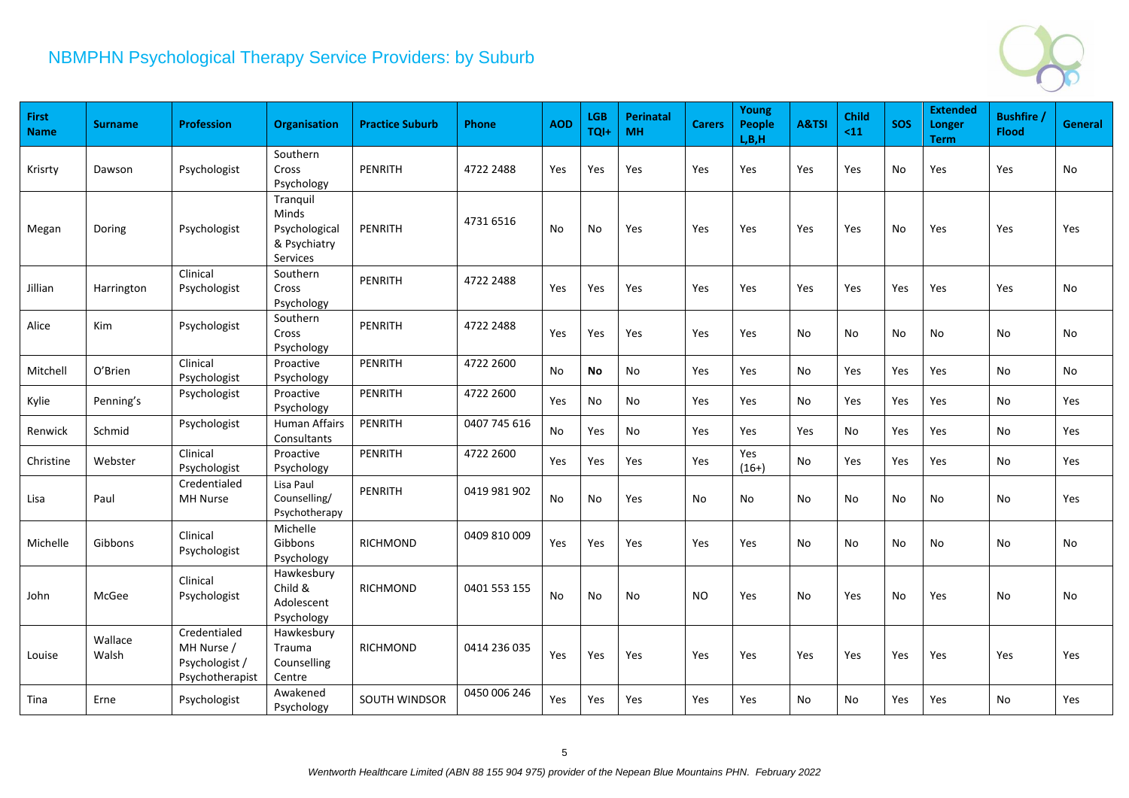

| <b>First</b><br><b>Name</b> | <b>Surname</b>   | <b>Profession</b>                                               | <b>Organisation</b>                                            | <b>Practice Suburb</b> | Phone        | <b>AOD</b> | <b>LGB</b><br>TQI+ | <b>Perinatal</b><br><b>MH</b> | <b>Carers</b>  | Young<br><b>People</b><br>L, B, H | A&TSI | <b>Child</b><br>$11$ | <b>SOS</b> | <b>Extended</b><br><b>Longer</b><br><b>Term</b> | <b>Bushfire</b><br><b>Flood</b> | <b>General</b> |
|-----------------------------|------------------|-----------------------------------------------------------------|----------------------------------------------------------------|------------------------|--------------|------------|--------------------|-------------------------------|----------------|-----------------------------------|-------|----------------------|------------|-------------------------------------------------|---------------------------------|----------------|
| Krisrty                     | Dawson           | Psychologist                                                    | Southern<br>Cross<br>Psychology                                | <b>PENRITH</b>         | 4722 2488    | Yes        | Yes                | Yes                           | Yes            | Yes                               | Yes   | Yes                  | No         | Yes                                             | Yes                             | No             |
| Megan                       | Doring           | Psychologist                                                    | Tranquil<br>Minds<br>Psychological<br>& Psychiatry<br>Services | <b>PENRITH</b>         | 4731 6516    | No         | No                 | Yes                           | Yes            | Yes                               | Yes   | Yes                  | No         | Yes                                             | Yes                             | Yes            |
| Jillian                     | Harrington       | Clinical<br>Psychologist                                        | Southern<br>Cross<br>Psychology                                | <b>PENRITH</b>         | 4722 2488    | Yes        | Yes                | Yes                           | Yes            | Yes                               | Yes   | Yes                  | Yes        | Yes                                             | Yes                             | No             |
| Alice                       | Kim              | Psychologist                                                    | Southern<br>Cross<br>Psychology                                | PENRITH                | 4722 2488    | Yes        | Yes                | Yes                           | <b>Yes</b>     | Yes                               | No    | No                   | No         | No                                              | No                              | No             |
| Mitchell                    | O'Brien          | Clinical<br>Psychologist                                        | Proactive<br>Psychology                                        | PENRITH                | 4722 2600    | No         | <b>No</b>          | $\mathsf{No}$                 | Yes            | Yes                               | No    | Yes                  | Yes        | Yes                                             | No                              | No             |
| Kylie                       | Penning's        | Psychologist                                                    | Proactive<br>Psychology                                        | PENRITH                | 4722 2600    | Yes        | No                 | No                            | Yes            | Yes                               | No    | Yes                  | Yes        | Yes                                             | No                              | Yes            |
| Renwick                     | Schmid           | Psychologist                                                    | <b>Human Affairs</b><br>Consultants                            | PENRITH                | 0407 745 616 | No         | Yes                | No                            | Yes            | Yes                               | Yes   | No                   | Yes        | Yes                                             | No                              | Yes            |
| Christine                   | Webster          | Clinical<br>Psychologist                                        | Proactive<br>Psychology                                        | PENRITH                | 4722 2600    | Yes        | Yes                | Yes                           | Yes            | Yes<br>$(16+)$                    | No    | Yes                  | Yes        | Yes                                             | No                              | Yes            |
| Lisa                        | Paul             | Credentialed<br>MH Nurse                                        | Lisa Paul<br>Counselling/<br>Psychotherapy                     | <b>PENRITH</b>         | 0419 981 902 | No         | No                 | Yes                           | No             | No                                | No    | No                   | No         | No                                              | No                              | Yes            |
| Michelle                    | Gibbons          | Clinical<br>Psychologist                                        | Michelle<br>Gibbons<br>Psychology                              | <b>RICHMOND</b>        | 0409 810 009 | Yes        | Yes                | Yes                           | Yes            | Yes                               | No    | No                   | No         | No                                              | No                              | No             |
| John                        | McGee            | Clinical<br>Psychologist                                        | Hawkesbury<br>Child &<br>Adolescent<br>Psychology              | <b>RICHMOND</b>        | 0401 553 155 | No         | <b>No</b>          | No                            | N <sub>O</sub> | Yes                               | No    | Yes                  | No         | Yes                                             | <b>No</b>                       | No             |
| Louise                      | Wallace<br>Walsh | Credentialed<br>MH Nurse /<br>Psychologist /<br>Psychotherapist | Hawkesbury<br>Trauma<br>Counselling<br>Centre                  | <b>RICHMOND</b>        | 0414 236 035 | Yes        | Yes                | Yes                           | Yes            | Yes                               | Yes   | Yes                  | Yes        | Yes                                             | Yes                             | Yes            |
| Tina                        | Erne             | Psychologist                                                    | Awakened<br>Psychology                                         | <b>SOUTH WINDSOR</b>   | 0450 006 246 | Yes        | Yes                | Yes                           | Yes            | Yes                               | No    | No                   | Yes        | Yes                                             | <b>No</b>                       | Yes            |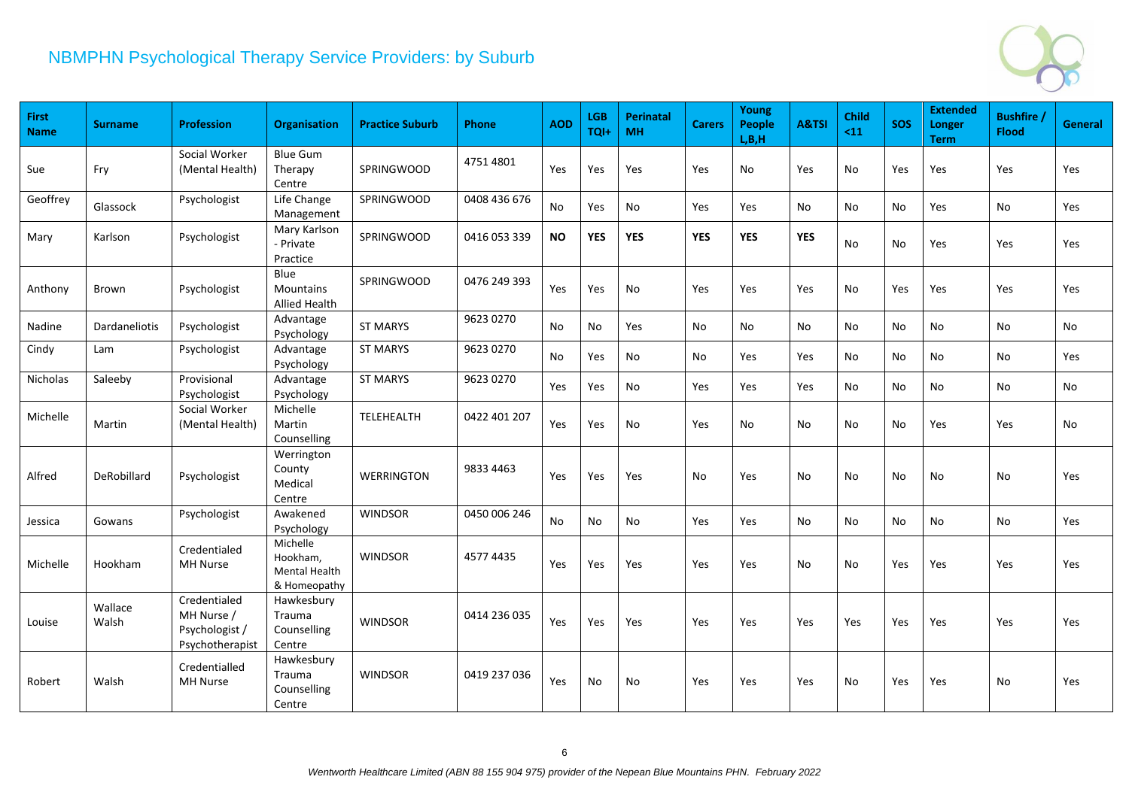

| First<br><b>Name</b> | <b>Surname</b>       | <b>Profession</b>                                               | <b>Organisation</b>                                   | <b>Practice Suburb</b> | <b>Phone</b> | <b>AOD</b> | <b>LGB</b><br>TQI+ | <b>Perinatal</b><br><b>MH</b> | <b>Carers</b> | Young<br><b>People</b><br>L, B, H | A&TSI      | <b>Child</b><br>$11$ | <b>SOS</b> | <b>Extended</b><br><b>Longer</b><br><b>Term</b> | <b>Bushfire</b><br><b>Flood</b> | General |
|----------------------|----------------------|-----------------------------------------------------------------|-------------------------------------------------------|------------------------|--------------|------------|--------------------|-------------------------------|---------------|-----------------------------------|------------|----------------------|------------|-------------------------------------------------|---------------------------------|---------|
| Sue                  | Fry                  | Social Worker<br>(Mental Health)                                | <b>Blue Gum</b><br>Therapy<br>Centre                  | SPRINGWOOD             | 4751 4801    | Yes        | Yes                | Yes                           | Yes           | No                                | Yes        | No                   | Yes        | Yes                                             | Yes                             | Yes     |
| Geoffrey             | Glassock             | Psychologist                                                    | Life Change<br>Management                             | SPRINGWOOD             | 0408 436 676 | No         | Yes                | No                            | Yes           | Yes                               | No         | No                   | No         | <b>Yes</b>                                      | No                              | Yes     |
| Mary                 | Karlson              | Psychologist                                                    | Mary Karlson<br>- Private<br>Practice                 | SPRINGWOOD             | 0416 053 339 | <b>NO</b>  | <b>YES</b>         | <b>YES</b>                    | <b>YES</b>    | <b>YES</b>                        | <b>YES</b> | No                   | No         | Yes                                             | Yes                             | Yes     |
| Anthony              | Brown                | Psychologist                                                    | Blue<br>Mountains<br>Allied Health                    | <b>SPRINGWOOD</b>      | 0476 249 393 | Yes        | Yes                | No                            | Yes           | <b>Yes</b>                        | Yes        | No                   | Yes        | Yes                                             | Yes                             | Yes     |
| Nadine               | <b>Dardaneliotis</b> | Psychologist                                                    | Advantage<br>Psychology                               | <b>ST MARYS</b>        | 9623 0270    | No         | No                 | <b>Yes</b>                    | No            | No                                | No.        | No                   | No.        | No                                              | No                              | No      |
| Cindy                | Lam                  | Psychologist                                                    | Advantage<br>Psychology                               | <b>ST MARYS</b>        | 9623 0270    | No         | Yes                | No                            | No            | Yes                               | Yes        | No                   | No         | No                                              | No                              | Yes     |
| Nicholas             | Saleeby              | Provisional<br>Psychologist                                     | Advantage<br>Psychology                               | <b>ST MARYS</b>        | 9623 0270    | Yes        | Yes                | No                            | Yes           | Yes                               | Yes        | No                   | No         | No                                              | No                              | No      |
| Michelle             | Martin               | Social Worker<br>(Mental Health)                                | Michelle<br>Martin<br>Counselling                     | TELEHEALTH             | 0422 401 207 | Yes        | Yes                | No                            | Yes           | No                                | No         | No                   | No.        | Yes                                             | Yes                             | No      |
| Alfred               | DeRobillard          | Psychologist                                                    | Werrington<br>County<br>Medical<br>Centre             | <b>WERRINGTON</b>      | 9833 4463    | Yes        | Yes                | Yes                           | No            | Yes                               | No         | No                   | No         | No                                              | <b>No</b>                       | Yes     |
| Jessica              | Gowans               | Psychologist                                                    | Awakened<br>Psychology                                | <b>WINDSOR</b>         | 0450 006 246 | No         | No                 | No                            | Yes           | Yes                               | No         | No                   | No         | No                                              | No                              | Yes     |
| Michelle             | Hookham              | Credentialed<br><b>MH Nurse</b>                                 | Michelle<br>Hookham,<br>Mental Health<br>& Homeopathy | <b>WINDSOR</b>         | 4577 4435    | Yes        | Yes                | Yes                           | <b>Yes</b>    | <b>Yes</b>                        | No         | No                   | Yes        | Yes                                             | Yes                             | Yes     |
| Louise               | Wallace<br>Walsh     | Credentialed<br>MH Nurse /<br>Psychologist /<br>Psychotherapist | Hawkesbury<br>Trauma<br>Counselling<br>Centre         | <b>WINDSOR</b>         | 0414 236 035 | Yes        | Yes                | Yes                           | <b>Yes</b>    | Yes                               | Yes        | Yes                  | Yes        | Yes                                             | Yes                             | Yes     |
| Robert               | Walsh                | Credentialled<br><b>MH Nurse</b>                                | Hawkesbury<br>Trauma<br>Counselling<br>Centre         | <b>WINDSOR</b>         | 0419 237 036 | Yes        | No                 | No                            | Yes           | Yes                               | Yes        | No.                  | Yes        | Yes                                             | No                              | Yes     |